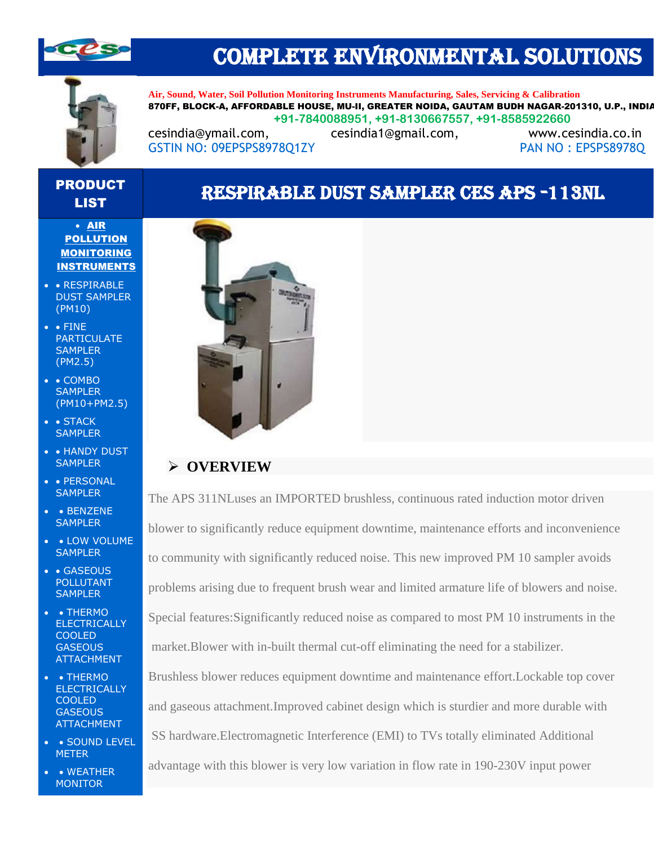

## COMPLETE ENVIRONMENTAL SOLUTIONS



**Air, Sound, Water, Soil Pollution Monitoring Instruments Manufacturing, Sales, Servicing & Calibration** 870FF, BLOCK-A, AFFORDABLE HOUSE, MU-II, GREATER NOIDA, GAUTAM BUDH NAGAR-201310, U.P., INDIA **+91-7840088951, +91-8130667557, +91-8585922660**

[cesindia@ymail.com,](mailto:cesindia@ymail.com) [cesindia1@gmail.com,](mailto:cesindia1@gmail.com) [www.cesindia.co.in](http://www.cesindia.co.in/)  GSTIN NO: 09EPSPS8978Q1ZY PAN NO : EPSPS8978Q

### PRODUCT LIST RESPIRABLE DUST SAMPLER CES APS -113NL

#### • AIR **POLLUTION MONITORING** INSTRUMENTS

- • RESPIRABLE DUST SAMPLER (PM10)
- • FINE PARTICULATE **SAMPLER** (PM2.5)
- • COMBO **SAMPLER** (PM10+PM2.5)
- • STACK **SAMPLER**
- • HANDY DUST **SAMPLER**
- • PERSONAL **SAMPLER**
- • BENZENE **SAMPLER**
- LOW VOLUME **SAMPLER**
- • GASEOUS POLLUTANT **SAMPLER**
- • THERMO **ELECTRICALLY COOLED GASEOUS** ATTACHMENT
- • THERMO **ELECTRICALLY** COOLED **GASEOUS** ATTACHMENT
- SOUND LEVEL **METER**
- • WEATHER **MONITOR**



## ➢ **OVERVIEW**

The APS 311NLuses an IMPORTED brushless, continuous rated induction motor driven blower to significantly reduce equipment downtime, maintenance efforts and inconvenience to community with significantly reduced noise. This new improved PM 10 sampler avoids problems arising due to frequent brush wear and limited armature life of blowers and noise. Special features:Significantly reduced noise as compared to most PM 10 instruments in the market.Blower with in-built thermal cut-off eliminating the need for a stabilizer.

Brushless blower reduces equipment downtime and maintenance effort.Lockable top cover and gaseous attachment.Improved cabinet design which is sturdier and more durable with SS hardware.Electromagnetic Interference (EMI) to TVs totally eliminated Additional advantage with this blower is very low variation in flow rate in 190-230V input power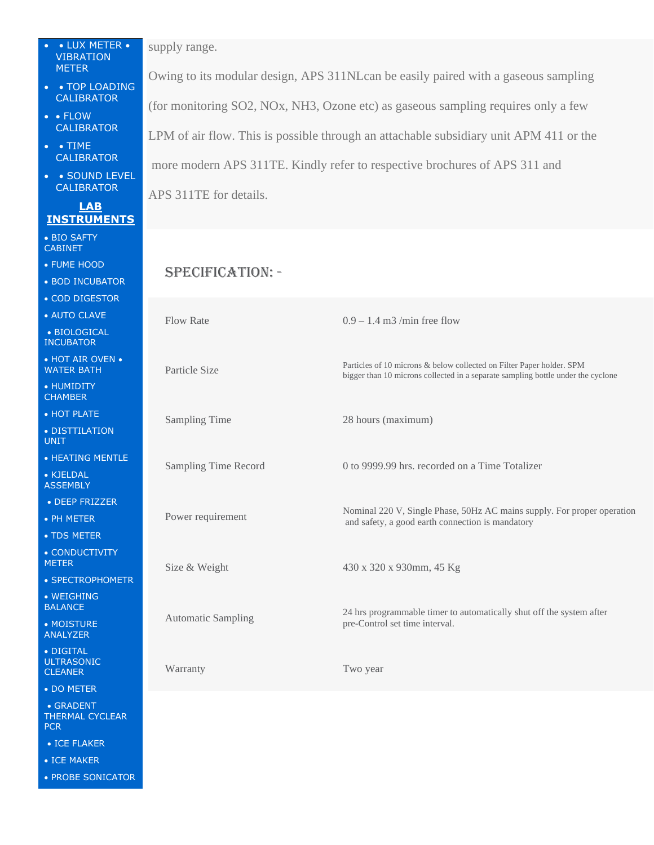| • LUX METER •<br><b>VIBRATION</b><br><b>METER</b> | supply range.<br>Owing to its modular design, APS 311NL can be easily paired with a gaseous sampling<br>(for monitoring SO2, NOx, NH3, Ozone etc) as gaseous sampling requires only a few<br>LPM of air flow. This is possible through an attachable subsidiary unit APM 411 or the |                                                                                                                                                           |
|---------------------------------------------------|-------------------------------------------------------------------------------------------------------------------------------------------------------------------------------------------------------------------------------------------------------------------------------------|-----------------------------------------------------------------------------------------------------------------------------------------------------------|
| • TOP LOADING<br>$\bullet$                        |                                                                                                                                                                                                                                                                                     |                                                                                                                                                           |
| <b>CALIBRATOR</b><br>$\bullet$ $\bullet$ FLOW     |                                                                                                                                                                                                                                                                                     |                                                                                                                                                           |
| <b>CALIBRATOR</b>                                 |                                                                                                                                                                                                                                                                                     |                                                                                                                                                           |
| $\bullet$ $\bullet$ TIME<br><b>CALIBRATOR</b>     |                                                                                                                                                                                                                                                                                     |                                                                                                                                                           |
| • SOUND LEVEL<br>$\bullet$<br><b>CALIBRATOR</b>   | more modern APS 311TE. Kindly refer to respective brochures of APS 311 and                                                                                                                                                                                                          |                                                                                                                                                           |
| <b>LAB</b>                                        | APS 311TE for details.                                                                                                                                                                                                                                                              |                                                                                                                                                           |
| <b>INSTRUMENTS</b>                                |                                                                                                                                                                                                                                                                                     |                                                                                                                                                           |
| • BIO SAFTY<br><b>CABINET</b>                     |                                                                                                                                                                                                                                                                                     |                                                                                                                                                           |
| • FUME HOOD                                       | <b>SPECIFICATION: -</b>                                                                                                                                                                                                                                                             |                                                                                                                                                           |
| • BOD INCUBATOR                                   |                                                                                                                                                                                                                                                                                     |                                                                                                                                                           |
| • COD DIGESTOR                                    |                                                                                                                                                                                                                                                                                     |                                                                                                                                                           |
| • AUTO CLAVE<br>• BIOLOGICAL                      | <b>Flow Rate</b>                                                                                                                                                                                                                                                                    | $0.9 - 1.4$ m3 /min free flow                                                                                                                             |
| <b>INCUBATOR</b>                                  |                                                                                                                                                                                                                                                                                     |                                                                                                                                                           |
| • HOT AIR OVEN •<br><b>WATER BATH</b>             | Particle Size                                                                                                                                                                                                                                                                       | Particles of 10 microns & below collected on Filter Paper holder. SPM<br>bigger than 10 microns collected in a separate sampling bottle under the cyclone |
| • HUMIDITY<br><b>CHAMBER</b>                      |                                                                                                                                                                                                                                                                                     |                                                                                                                                                           |
| • HOT PLATE                                       | Sampling Time                                                                                                                                                                                                                                                                       | 28 hours (maximum)                                                                                                                                        |
| • DISTTILATION<br><b>UNIT</b>                     |                                                                                                                                                                                                                                                                                     |                                                                                                                                                           |
| • HEATING MENTLE                                  | Sampling Time Record                                                                                                                                                                                                                                                                | 0 to 9999.99 hrs. recorded on a Time Totalizer                                                                                                            |
| • KJELDAL<br><b>ASSEMBLY</b>                      |                                                                                                                                                                                                                                                                                     |                                                                                                                                                           |
| • DEEP FRIZZER                                    |                                                                                                                                                                                                                                                                                     | Nominal 220 V, Single Phase, 50Hz AC mains supply. For proper operation                                                                                   |
| • PH METER                                        | Power requirement                                                                                                                                                                                                                                                                   | and safety, a good earth connection is mandatory                                                                                                          |
| • TDS METER<br>• CONDUCTIVITY                     |                                                                                                                                                                                                                                                                                     |                                                                                                                                                           |
| <b>METER</b>                                      | Size & Weight                                                                                                                                                                                                                                                                       | 430 x 320 x 930mm, 45 Kg                                                                                                                                  |
| • SPECTROPHOMETR                                  |                                                                                                                                                                                                                                                                                     |                                                                                                                                                           |
| • WEIGHING<br><b>BALANCE</b>                      | <b>Automatic Sampling</b>                                                                                                                                                                                                                                                           | 24 hrs programmable timer to automatically shut off the system after                                                                                      |
| • MOISTURE<br><b>ANALYZER</b>                     |                                                                                                                                                                                                                                                                                     | pre-Control set time interval.                                                                                                                            |
| • DIGITAL<br><b>ULTRASONIC</b><br><b>CLEANER</b>  | Warranty                                                                                                                                                                                                                                                                            | Two year                                                                                                                                                  |
| • DO METER                                        |                                                                                                                                                                                                                                                                                     |                                                                                                                                                           |
| • GRADENT<br>THERMAL CYCLEAR<br><b>PCR</b>        |                                                                                                                                                                                                                                                                                     |                                                                                                                                                           |
| $\bullet$ ICE FLAKER                              |                                                                                                                                                                                                                                                                                     |                                                                                                                                                           |
| • ICE MAKER                                       |                                                                                                                                                                                                                                                                                     |                                                                                                                                                           |
| • PROBE SONICATOR                                 |                                                                                                                                                                                                                                                                                     |                                                                                                                                                           |